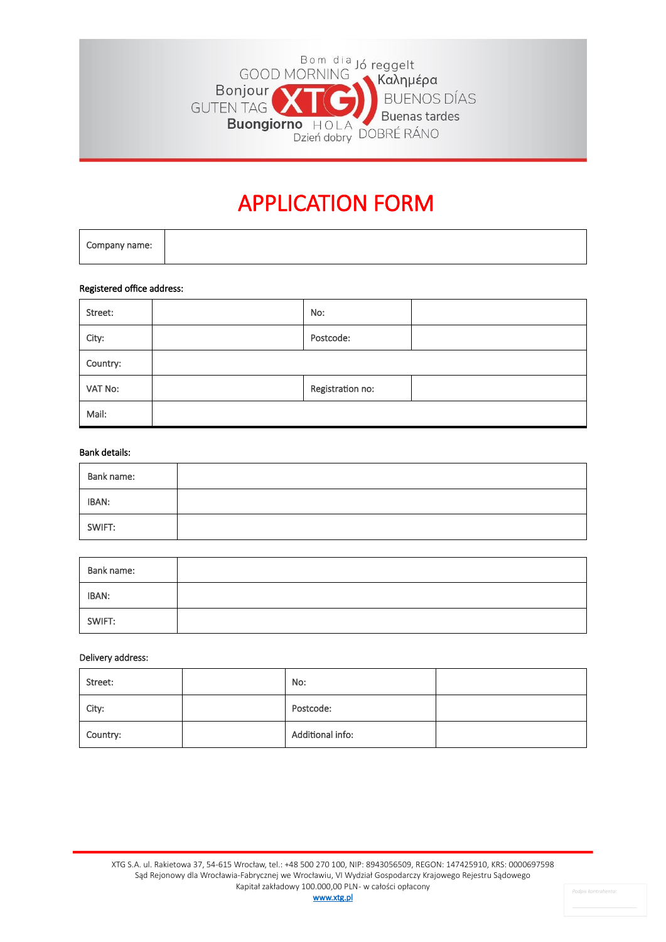

# APPLICATION FORM

#### Registered office address:

| Street:  | No:              |  |
|----------|------------------|--|
| City:    | Postcode:        |  |
| Country: |                  |  |
| VAT No:  | Registration no: |  |
| Mail:    |                  |  |

#### Bank details:

| Bank name: |  |
|------------|--|
| IBAN:      |  |
| SWIFT:     |  |

| Bank name: |  |
|------------|--|
| IBAN:      |  |
| SWIFT:     |  |

## Delivery address:

| Street:  | No:              |  |
|----------|------------------|--|
| City:    | Postcode:        |  |
| Country: | Additional info: |  |

[www.xtg.pl](http://www.xtg.pl/)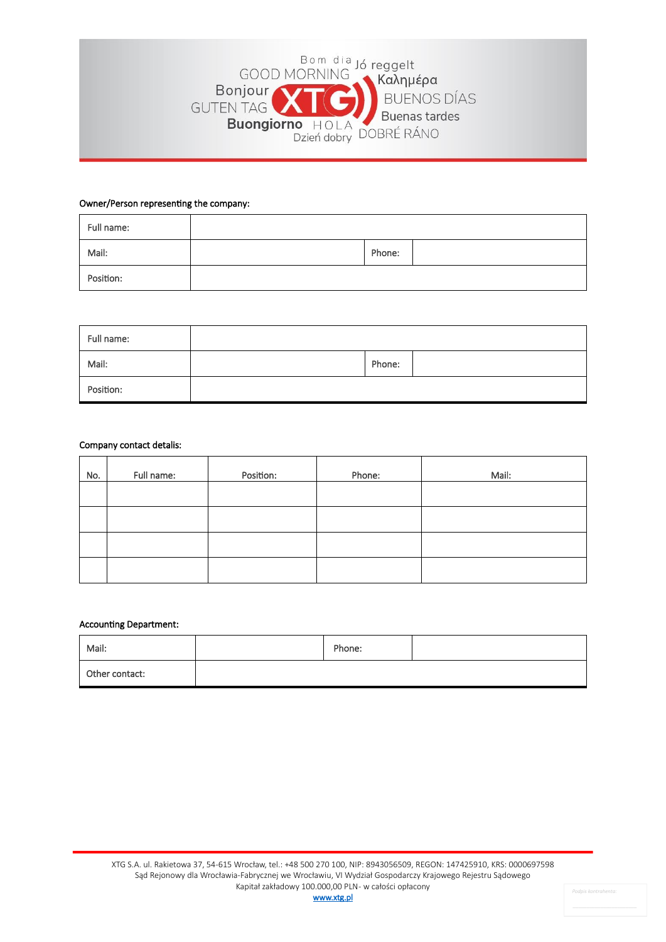

## Owner/Person representing the company:

| Full name: |        |  |
|------------|--------|--|
| Mail:      | Phone: |  |
| Position:  |        |  |

| Full name: |        |  |
|------------|--------|--|
| Mail:      | Phone: |  |
| Position:  |        |  |

### Company contact detalis:

| No. | Full name: | Position: | Phone: | Mail: |
|-----|------------|-----------|--------|-------|
|     |            |           |        |       |
|     |            |           |        |       |
|     |            |           |        |       |
|     |            |           |        |       |

#### Accounting Department:

| Mail:          | Phone: |  |
|----------------|--------|--|
| Other contact: |        |  |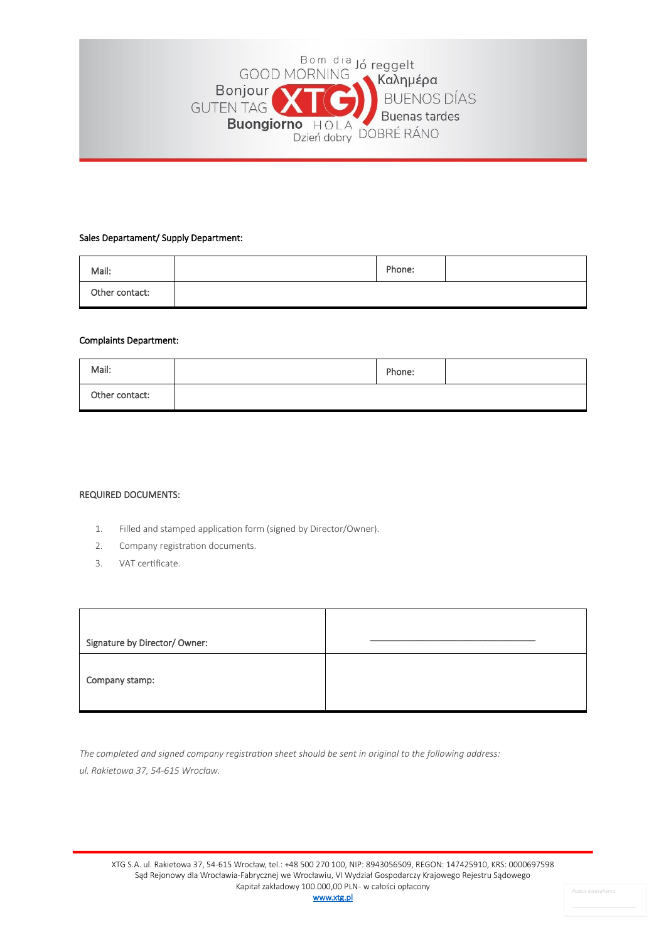

### Sales Departament/ Supply Department:

| Mail:          | Phone: |  |
|----------------|--------|--|
| Other contact: |        |  |

## Complaints Department:

| Mail:          | Phone: |  |
|----------------|--------|--|
| Other contact: |        |  |

#### REQUIRED DOCUMENTS:

- 1. Filled and stamped application form (signed by Director/Owner).
- 2. Company registration documents.
- 3. VAT certificate.

| Signature by Director/ Owner: |  |
|-------------------------------|--|
| Company stamp:                |  |

*The completed and signed company registration sheet should be sent in original to the following address: ul. Rakietowa 37, 54-615 Wrocław.*

*Podpis kontrahenta:*